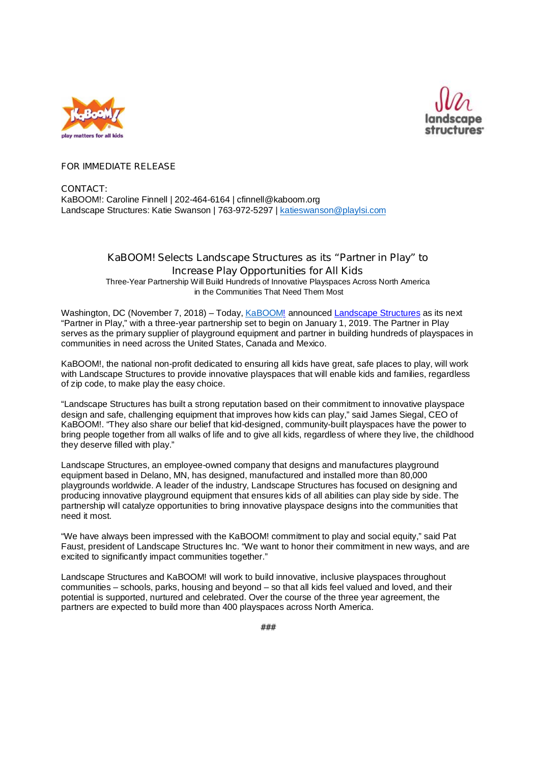



## **FOR IMMEDIATE RELEASE**

**CONTACT:** KaBOOM!: Caroline Finnell | 202-464-6164 | cfinnell@kaboom.org Landscape Structures: Katie Swanson | 763-972-5297 | katieswanson@playlsi.com

## **KaBOOM! Selects Landscape Structures as its "Partner in Play" to Increase Play Opportunities for All Kids**

Three-Year Partnership Will Build Hundreds of Innovative Playspaces Across North America in the Communities That Need Them Most

Washington, DC (November 7, 2018) – Today, KaBOOM! announced Landscape Structures as its next "Partner in Play," with a three-year partnership set to begin on January 1, 2019. The Partner in Play serves as the primary supplier of playground equipment and partner in building hundreds of playspaces in communities in need across the United States, Canada and Mexico.

KaBOOM!, the national non-profit dedicated to ensuring all kids have great, safe places to play, will work with Landscape Structures to provide innovative playspaces that will enable kids and families, regardless of zip code, to make play the easy choice.

"Landscape Structures has built a strong reputation based on their commitment to innovative playspace design and safe, challenging equipment that improves how kids can play," said James Siegal, CEO of KaBOOM!. "They also share our belief that kid-designed, community-built playspaces have the power to bring people together from all walks of life and to give all kids, regardless of where they live, the childhood they deserve filled with play."

Landscape Structures, an employee-owned company that designs and manufactures playground equipment based in Delano, MN, has designed, manufactured and installed more than 80,000 playgrounds worldwide. A leader of the industry, Landscape Structures has focused on designing and producing innovative playground equipment that ensures kids of all abilities can play side by side. The partnership will catalyze opportunities to bring innovative playspace designs into the communities that need it most.

"We have always been impressed with the KaBOOM! commitment to play and social equity," said Pat Faust, president of Landscape Structures Inc. "We want to honor their commitment in new ways, and are excited to significantly impact communities together."

Landscape Structures and KaBOOM! will work to build innovative, inclusive playspaces throughout communities – schools, parks, housing and beyond – so that all kids feel valued and loved, and their potential is supported, nurtured and celebrated. Over the course of the three year agreement, the partners are expected to build more than 400 playspaces across North America.